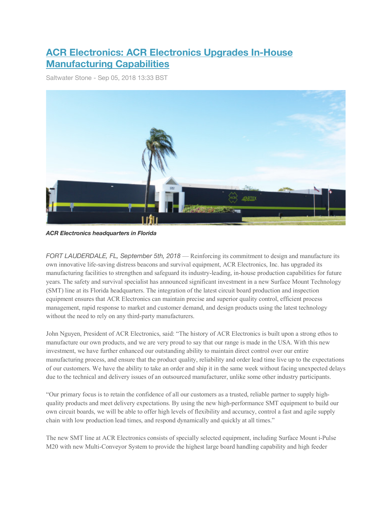## **ACR Electronics: ACR Electronics Upgrades In-House Manufacturing Capabilities**

Saltwater Stone - Sep 05, 2018 13:33 BST



*ACR Electronics headquarters in Florida*

*FORT LAUDERDALE, FL, September 5th, 2018* — Reinforcing its commitment to design and manufacture its own innovative life-saving distress beacons and survival equipment, ACR Electronics, Inc. has upgraded its manufacturing facilities to strengthen and safeguard its industry-leading, in-house production capabilities for future years. The safety and survival specialist has announced significant investment in a new Surface Mount Technology (SMT) line at its Florida headquarters. The integration of the latest circuit board production and inspection equipment ensures that ACR Electronics can maintain precise and superior quality control, efficient process management, rapid response to market and customer demand, and design products using the latest technology without the need to rely on any third-party manufacturers.

John Nguyen, President of ACR Electronics, said: "The history of ACR Electronics is built upon a strong ethos to manufacture our own products, and we are very proud to say that our range is made in the USA. With this new investment, we have further enhanced our outstanding ability to maintain direct control over our entire manufacturing process, and ensure that the product quality, reliability and order lead time live up to the expectations of our customers. We have the ability to take an order and ship it in the same week without facing unexpected delays due to the technical and delivery issues of an outsourced manufacturer, unlike some other industry participants.

"Our primary focus is to retain the confidence of all our customers as a trusted, reliable partner to supply highquality products and meet delivery expectations. By using the new high-performance SMT equipment to build our own circuit boards, we will be able to offer high levels of flexibility and accuracy, control a fast and agile supply chain with low production lead times, and respond dynamically and quickly at all times."

The new SMT line at ACR Electronics consists of specially selected equipment, including Surface Mount i-Pulse M20 with new Multi-Conveyor System to provide the highest large board handling capability and high feeder